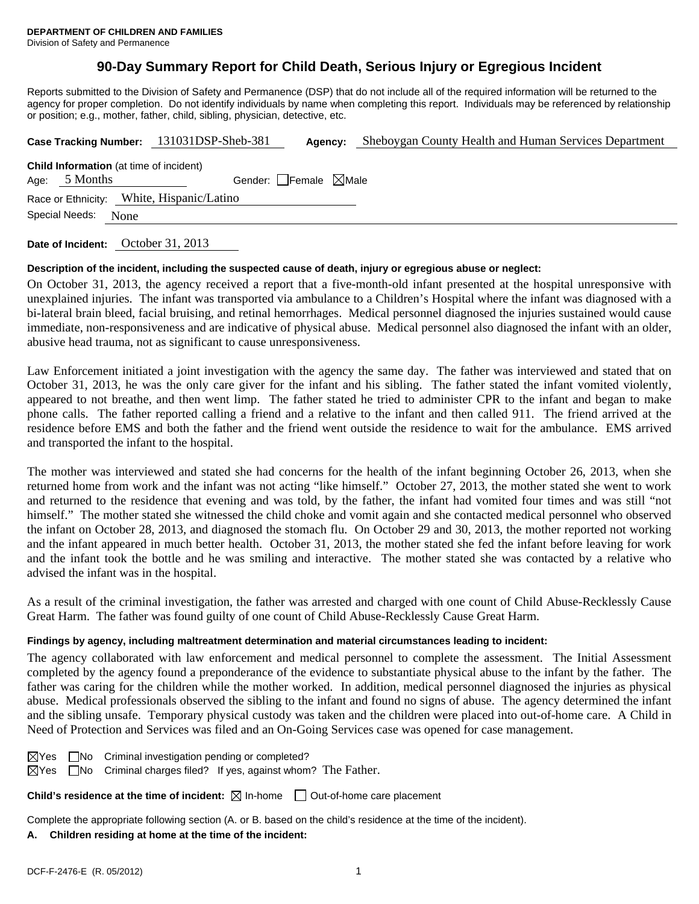## **90-Day Summary Report for Child Death, Serious Injury or Egregious Incident**

Reports submitted to the Division of Safety and Permanence (DSP) that do not include all of the required information will be returned to the agency for proper completion. Do not identify individuals by name when completing this report. Individuals may be referenced by relationship or position; e.g., mother, father, child, sibling, physician, detective, etc.

|                                                                                                      |  | Case Tracking Number: 131031DSP-Sheb-381 | Agency: | Sheboygan County Health and Human Services Department |  |  |  |
|------------------------------------------------------------------------------------------------------|--|------------------------------------------|---------|-------------------------------------------------------|--|--|--|
| <b>Child Information</b> (at time of incident)<br>Age: $5$ Months<br>Gender: Female $\boxtimes$ Male |  |                                          |         |                                                       |  |  |  |
| Race or Ethnicity: White, Hispanic/Latino<br>Special Needs:<br>None                                  |  |                                          |         |                                                       |  |  |  |
|                                                                                                      |  |                                          |         |                                                       |  |  |  |

**Date of Incident:** October 31, 2013

### **Description of the incident, including the suspected cause of death, injury or egregious abuse or neglect:**

On October 31, 2013, the agency received a report that a five-month-old infant presented at the hospital unresponsive with unexplained injuries. The infant was transported via ambulance to a Children's Hospital where the infant was diagnosed with a bi-lateral brain bleed, facial bruising, and retinal hemorrhages. Medical personnel diagnosed the injuries sustained would cause immediate, non-responsiveness and are indicative of physical abuse. Medical personnel also diagnosed the infant with an older, abusive head trauma, not as significant to cause unresponsiveness.

Law Enforcement initiated a joint investigation with the agency the same day. The father was interviewed and stated that on October 31, 2013, he was the only care giver for the infant and his sibling. The father stated the infant vomited violently, appeared to not breathe, and then went limp. The father stated he tried to administer CPR to the infant and began to make phone calls. The father reported calling a friend and a relative to the infant and then called 911. The friend arrived at the residence before EMS and both the father and the friend went outside the residence to wait for the ambulance. EMS arrived and transported the infant to the hospital.

The mother was interviewed and stated she had concerns for the health of the infant beginning October 26, 2013, when she returned home from work and the infant was not acting "like himself." October 27, 2013, the mother stated she went to work and returned to the residence that evening and was told, by the father, the infant had vomited four times and was still "not himself." The mother stated she witnessed the child choke and vomit again and she contacted medical personnel who observed the infant on October 28, 2013, and diagnosed the stomach flu. On October 29 and 30, 2013, the mother reported not working and the infant appeared in much better health. October 31, 2013, the mother stated she fed the infant before leaving for work and the infant took the bottle and he was smiling and interactive. The mother stated she was contacted by a relative who advised the infant was in the hospital.

As a result of the criminal investigation, the father was arrested and charged with one count of Child Abuse-Recklessly Cause Great Harm. The father was found guilty of one count of Child Abuse-Recklessly Cause Great Harm.

### **Findings by agency, including maltreatment determination and material circumstances leading to incident:**

The agency collaborated with law enforcement and medical personnel to complete the assessment. The Initial Assessment completed by the agency found a preponderance of the evidence to substantiate physical abuse to the infant by the father. The father was caring for the children while the mother worked. In addition, medical personnel diagnosed the injuries as physical abuse. Medical professionals observed the sibling to the infant and found no signs of abuse. The agency determined the infant and the sibling unsafe. Temporary physical custody was taken and the children were placed into out-of-home care. A Child in Need of Protection and Services was filed and an On-Going Services case was opened for case management.

|  | $\boxtimes$ Yes $\Box$ No Criminal investigation pending or completed?              |  |
|--|-------------------------------------------------------------------------------------|--|
|  | $\boxtimes$ Yes $\Box$ No Criminal charges filed? If yes, against whom? The Father. |  |

**Child's residence at the time of incident:**  $\boxtimes$  In-home  $\Box$  Out-of-home care placement

Complete the appropriate following section (A. or B. based on the child's residence at the time of the incident).

#### **A. Children residing at home at the time of the incident:**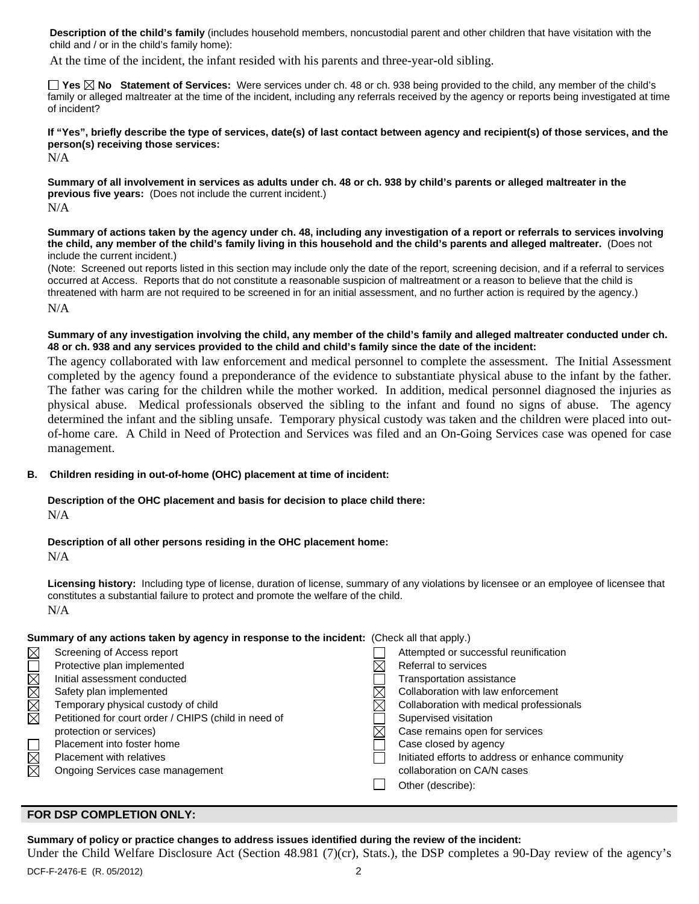**Description of the child's family** (includes household members, noncustodial parent and other children that have visitation with the child and / or in the child's family home):

At the time of the incident, the infant resided with his parents and three-year-old sibling.

**Yes No Statement of Services:** Were services under ch. 48 or ch. 938 being provided to the child, any member of the child's family or alleged maltreater at the time of the incident, including any referrals received by the agency or reports being investigated at time of incident?

**If "Yes", briefly describe the type of services, date(s) of last contact between agency and recipient(s) of those services, and the person(s) receiving those services:** 

N/A

**Summary of all involvement in services as adults under ch. 48 or ch. 938 by child's parents or alleged maltreater in the previous five years:** (Does not include the current incident.) N/A

**Summary of actions taken by the agency under ch. 48, including any investigation of a report or referrals to services involving the child, any member of the child's family living in this household and the child's parents and alleged maltreater.** (Does not include the current incident.)

(Note: Screened out reports listed in this section may include only the date of the report, screening decision, and if a referral to services occurred at Access. Reports that do not constitute a reasonable suspicion of maltreatment or a reason to believe that the child is threatened with harm are not required to be screened in for an initial assessment, and no further action is required by the agency.) N/A

### **Summary of any investigation involving the child, any member of the child's family and alleged maltreater conducted under ch. 48 or ch. 938 and any services provided to the child and child's family since the date of the incident:**

The agency collaborated with law enforcement and medical personnel to complete the assessment. The Initial Assessment completed by the agency found a preponderance of the evidence to substantiate physical abuse to the infant by the father. The father was caring for the children while the mother worked. In addition, medical personnel diagnosed the injuries as physical abuse. Medical professionals observed the sibling to the infant and found no signs of abuse. The agency determined the infant and the sibling unsafe. Temporary physical custody was taken and the children were placed into outof-home care. A Child in Need of Protection and Services was filed and an On-Going Services case was opened for case management.

### **B. Children residing in out-of-home (OHC) placement at time of incident:**

# **Description of the OHC placement and basis for decision to place child there:**

N/A

### **Description of all other persons residing in the OHC placement home:**

N/A

**Licensing history:** Including type of license, duration of license, summary of any violations by licensee or an employee of licensee that constitutes a substantial failure to protect and promote the welfare of the child. N/A

### **Summary of any actions taken by agency in response to the incident:** (Check all that apply.)

| $\boxtimes$            | Screening of Access report                           | Attempted or successful reunification             |
|------------------------|------------------------------------------------------|---------------------------------------------------|
|                        | Protective plan implemented                          | Referral to services                              |
|                        | Initial assessment conducted                         | Transportation assistance                         |
|                        | Safety plan implemented                              | Collaboration with law enforcement                |
| MMMML                  | Temporary physical custody of child                  | Collaboration with medical professionals          |
|                        | Petitioned for court order / CHIPS (child in need of | Supervised visitation                             |
|                        | protection or services)                              | Case remains open for services                    |
|                        | Placement into foster home                           | Case closed by agency                             |
| $\overline{\boxtimes}$ | <b>Placement with relatives</b>                      | Initiated efforts to address or enhance community |
| $\boxtimes$            | Ongoing Services case management                     | collaboration on CA/N cases                       |
|                        |                                                      | Other (describe):                                 |
|                        |                                                      |                                                   |

### **FOR DSP COMPLETION ONLY:**

### **Summary of policy or practice changes to address issues identified during the review of the incident:**

Under the Child Welfare Disclosure Act (Section 48.981 (7)(cr), Stats.), the DSP completes a 90-Day review of the agency's